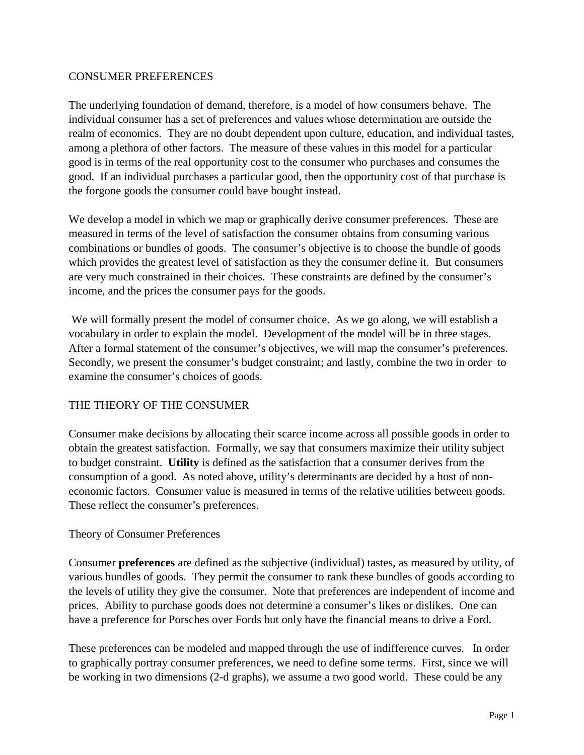## CONSUMER PREFERENCES

The underlying foundation of demand, therefore, is a model of how consumers behave. The individual consumer has a set of preferences and values whose determination are outside the realm of economics. They are no doubt dependent upon culture, education, and individual tastes, among a plethora of other factors. The measure of these values in this model for a particular good is in terms of the real opportunity cost to the consumer who purchases and consumes the good. If an individual purchases a particular good, then the opportunity cost of that purchase is the forgone goods the consumer could have bought instead.

We develop a model in which we map or graphically derive consumer preferences. These are measured in terms of the level of satisfaction the consumer obtains from consuming various combinations or bundles of goods. The consumer's objective is to choose the bundle of goods which provides the greatest level of satisfaction as they the consumer define it. But consumers are very much constrained in their choices. These constraints are defined by the consumer's income, and the prices the consumer pays for the goods.

 We will formally present the model of consumer choice. As we go along, we will establish a vocabulary in order to explain the model. Development of the model will be in three stages. After a formal statement of the consumer's objectives, we will map the consumer's preferences. Secondly, we present the consumer's budget constraint; and lastly, combine the two in order to examine the consumer's choices of goods.

# THE THEORY OF THE CONSUMER

Consumer make decisions by allocating their scarce income across all possible goods in order to obtain the greatest satisfaction. Formally, we say that consumers maximize their utility subject to budget constraint. **Utility** is defined as the satisfaction that a consumer derives from the consumption of a good. As noted above, utility's determinants are decided by a host of noneconomic factors. Consumer value is measured in terms of the relative utilities between goods. These reflect the consumer's preferences.

### Theory of Consumer Preferences

Consumer **preferences** are defined as the subjective (individual) tastes, as measured by utility, of various bundles of goods. They permit the consumer to rank these bundles of goods according to the levels of utility they give the consumer. Note that preferences are independent of income and prices. Ability to purchase goods does not determine a consumer's likes or dislikes. One can have a preference for Porsches over Fords but only have the financial means to drive a Ford.

These preferences can be modeled and mapped through the use of indifference curves. In order to graphically portray consumer preferences, we need to define some terms. First, since we will be working in two dimensions (2-d graphs), we assume a two good world. These could be any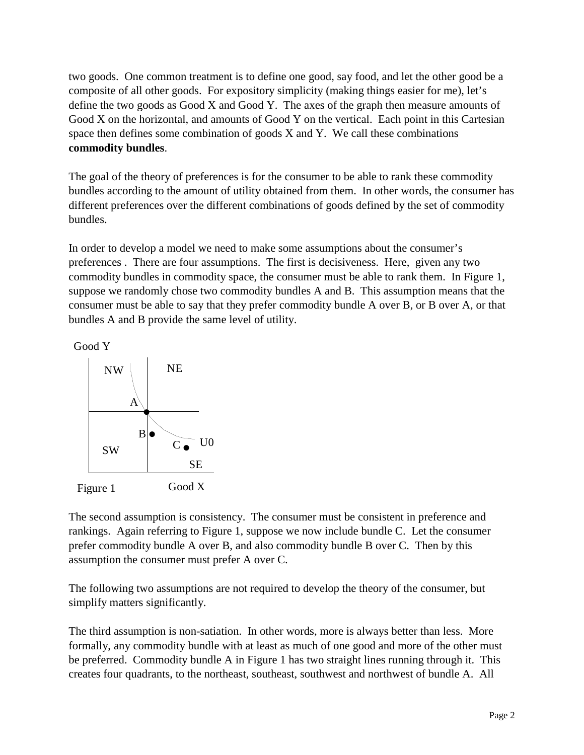two goods. One common treatment is to define one good, say food, and let the other good be a composite of all other goods. For expository simplicity (making things easier for me), let's define the two goods as Good X and Good Y. The axes of the graph then measure amounts of Good X on the horizontal, and amounts of Good Y on the vertical. Each point in this Cartesian space then defines some combination of goods  $X$  and  $Y$ . We call these combinations **commodity bundles**.

The goal of the theory of preferences is for the consumer to be able to rank these commodity bundles according to the amount of utility obtained from them. In other words, the consumer has different preferences over the different combinations of goods defined by the set of commodity bundles.

In order to develop a model we need to make some assumptions about the consumer's preferences . There are four assumptions. The first is decisiveness. Here, given any two commodity bundles in commodity space, the consumer must be able to rank them. In Figure 1, suppose we randomly chose two commodity bundles A and B. This assumption means that the consumer must be able to say that they prefer commodity bundle A over B, or B over A, or that bundles A and B provide the same level of utility.

Good Y



The second assumption is consistency. The consumer must be consistent in preference and rankings. Again referring to Figure 1, suppose we now include bundle C. Let the consumer prefer commodity bundle A over B, and also commodity bundle B over C. Then by this assumption the consumer must prefer A over C.

The following two assumptions are not required to develop the theory of the consumer, but simplify matters significantly.

The third assumption is non-satiation. In other words, more is always better than less. More formally, any commodity bundle with at least as much of one good and more of the other must be preferred. Commodity bundle A in Figure 1 has two straight lines running through it. This creates four quadrants, to the northeast, southeast, southwest and northwest of bundle A. All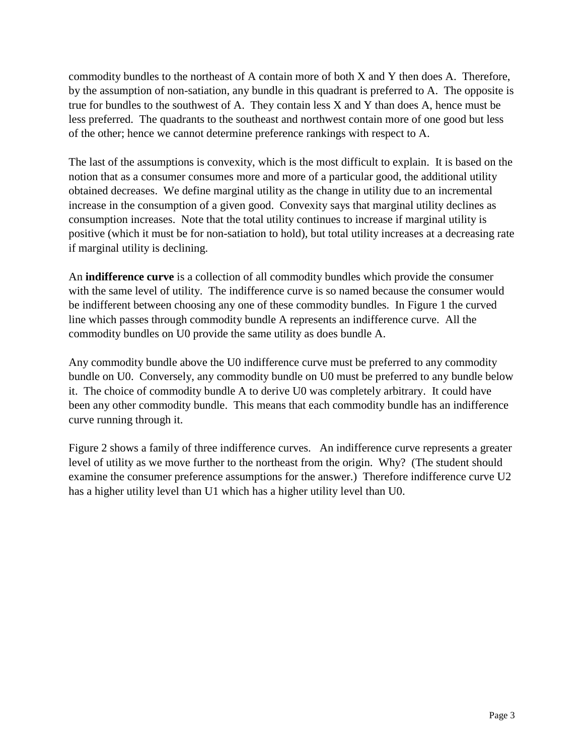commodity bundles to the northeast of A contain more of both X and Y then does A. Therefore, by the assumption of non-satiation, any bundle in this quadrant is preferred to A. The opposite is true for bundles to the southwest of A. They contain less X and Y than does A, hence must be less preferred. The quadrants to the southeast and northwest contain more of one good but less of the other; hence we cannot determine preference rankings with respect to A.

The last of the assumptions is convexity, which is the most difficult to explain. It is based on the notion that as a consumer consumes more and more of a particular good, the additional utility obtained decreases. We define marginal utility as the change in utility due to an incremental increase in the consumption of a given good. Convexity says that marginal utility declines as consumption increases. Note that the total utility continues to increase if marginal utility is positive (which it must be for non-satiation to hold), but total utility increases at a decreasing rate if marginal utility is declining.

An **indifference curve** is a collection of all commodity bundles which provide the consumer with the same level of utility. The indifference curve is so named because the consumer would be indifferent between choosing any one of these commodity bundles. In Figure 1 the curved line which passes through commodity bundle A represents an indifference curve. All the commodity bundles on U0 provide the same utility as does bundle A.

Any commodity bundle above the U0 indifference curve must be preferred to any commodity bundle on U0. Conversely, any commodity bundle on U0 must be preferred to any bundle below it. The choice of commodity bundle A to derive U0 was completely arbitrary. It could have been any other commodity bundle. This means that each commodity bundle has an indifference curve running through it.

Figure 2 shows a family of three indifference curves. An indifference curve represents a greater level of utility as we move further to the northeast from the origin. Why? (The student should examine the consumer preference assumptions for the answer.) Therefore indifference curve U2 has a higher utility level than U1 which has a higher utility level than U0.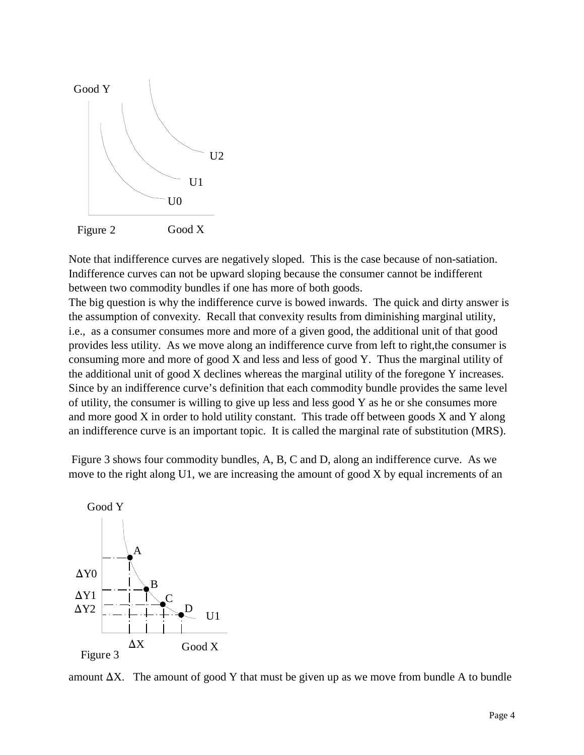

Note that indifference curves are negatively sloped. This is the case because of non-satiation. Indifference curves can not be upward sloping because the consumer cannot be indifferent between two commodity bundles if one has more of both goods.

The big question is why the indifference curve is bowed inwards. The quick and dirty answer is the assumption of convexity. Recall that convexity results from diminishing marginal utility, i.e., as a consumer consumes more and more of a given good, the additional unit of that good provides less utility. As we move along an indifference curve from left to right,the consumer is consuming more and more of good X and less and less of good Y. Thus the marginal utility of the additional unit of good X declines whereas the marginal utility of the foregone Y increases. Since by an indifference curve's definition that each commodity bundle provides the same level of utility, the consumer is willing to give up less and less good Y as he or she consumes more and more good X in order to hold utility constant. This trade off between goods X and Y along an indifference curve is an important topic. It is called the marginal rate of substitution (MRS).

 Figure 3 shows four commodity bundles, A, B, C and D, along an indifference curve. As we move to the right along U1, we are increasing the amount of good X by equal increments of an



amount  $\Delta X$ . The amount of good Y that must be given up as we move from bundle A to bundle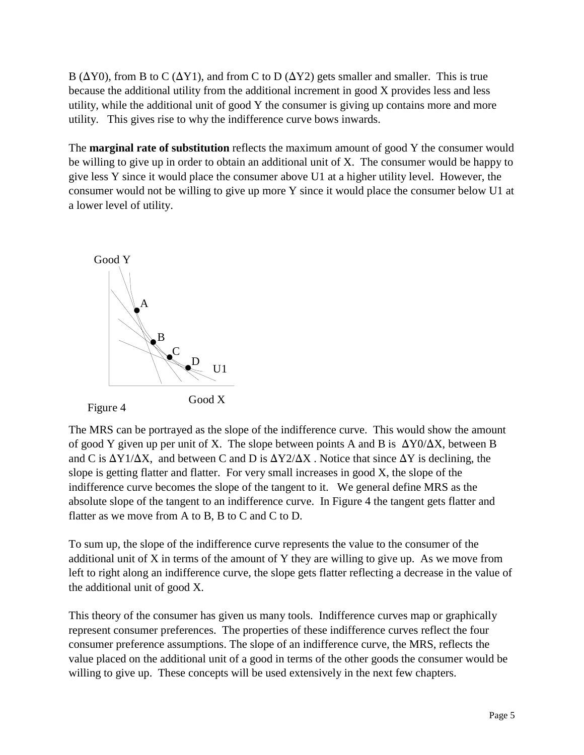B ( $\Delta$ Y0), from B to C ( $\Delta$ Y1), and from C to D ( $\Delta$ Y2) gets smaller and smaller. This is true because the additional utility from the additional increment in good X provides less and less utility, while the additional unit of good Y the consumer is giving up contains more and more utility. This gives rise to why the indifference curve bows inwards.

The **marginal rate of substitution** reflects the maximum amount of good Y the consumer would be willing to give up in order to obtain an additional unit of X. The consumer would be happy to give less Y since it would place the consumer above U1 at a higher utility level. However, the consumer would not be willing to give up more Y since it would place the consumer below U1 at a lower level of utility.



The MRS can be portrayed as the slope of the indifference curve. This would show the amount of good Y given up per unit of X. The slope between points A and B is  $\Delta Y0/\Delta X$ , between B and C is  $\Delta Y1/\Delta X$ , and between C and D is  $\Delta Y2/\Delta X$ . Notice that since  $\Delta Y$  is declining, the slope is getting flatter and flatter. For very small increases in good X, the slope of the indifference curve becomes the slope of the tangent to it. We general define MRS as the absolute slope of the tangent to an indifference curve. In Figure 4 the tangent gets flatter and flatter as we move from A to B, B to C and C to D.

To sum up, the slope of the indifference curve represents the value to the consumer of the additional unit of X in terms of the amount of Y they are willing to give up. As we move from left to right along an indifference curve, the slope gets flatter reflecting a decrease in the value of the additional unit of good X.

This theory of the consumer has given us many tools. Indifference curves map or graphically represent consumer preferences. The properties of these indifference curves reflect the four consumer preference assumptions. The slope of an indifference curve, the MRS, reflects the value placed on the additional unit of a good in terms of the other goods the consumer would be willing to give up. These concepts will be used extensively in the next few chapters.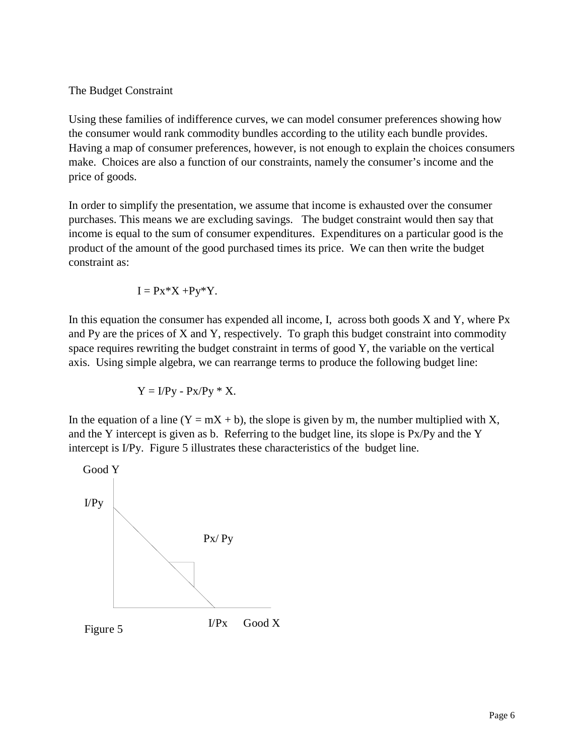### The Budget Constraint

Using these families of indifference curves, we can model consumer preferences showing how the consumer would rank commodity bundles according to the utility each bundle provides. Having a map of consumer preferences, however, is not enough to explain the choices consumers make. Choices are also a function of our constraints, namely the consumer's income and the price of goods.

In order to simplify the presentation, we assume that income is exhausted over the consumer purchases. This means we are excluding savings. The budget constraint would then say that income is equal to the sum of consumer expenditures. Expenditures on a particular good is the product of the amount of the good purchased times its price. We can then write the budget constraint as:

$$
I = Px^*X + Py^*Y.
$$

In this equation the consumer has expended all income, I, across both goods  $X$  and  $Y$ , where  $Px$ and Py are the prices of X and Y, respectively. To graph this budget constraint into commodity space requires rewriting the budget constraint in terms of good Y, the variable on the vertical axis. Using simple algebra, we can rearrange terms to produce the following budget line:

$$
Y = I/Py - Px/Py * X.
$$

In the equation of a line  $(Y = mX + b)$ , the slope is given by m, the number multiplied with X, and the Y intercept is given as b. Referring to the budget line, its slope is Px/Py and the Y intercept is I/Py. Figure 5 illustrates these characteristics of the budget line.

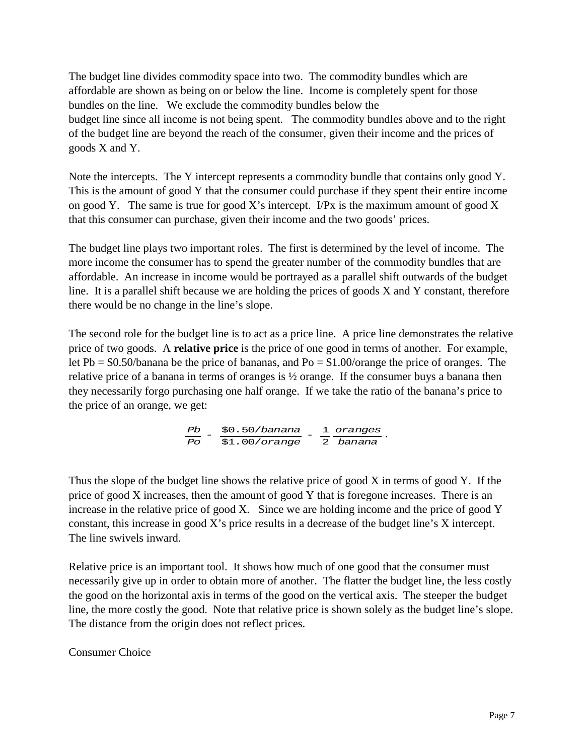The budget line divides commodity space into two. The commodity bundles which are affordable are shown as being on or below the line. Income is completely spent for those bundles on the line. We exclude the commodity bundles below the budget line since all income is not being spent. The commodity bundles above and to the right of the budget line are beyond the reach of the consumer, given their income and the prices of goods X and Y.

Note the intercepts. The Y intercept represents a commodity bundle that contains only good Y. This is the amount of good Y that the consumer could purchase if they spent their entire income on good Y. The same is true for good X's intercept. I/Px is the maximum amount of good X that this consumer can purchase, given their income and the two goods' prices.

The budget line plays two important roles. The first is determined by the level of income. The more income the consumer has to spend the greater number of the commodity bundles that are affordable. An increase in income would be portrayed as a parallel shift outwards of the budget line. It is a parallel shift because we are holding the prices of goods X and Y constant, therefore there would be no change in the line's slope.

The second role for the budget line is to act as a price line. A price line demonstrates the relative price of two goods. A **relative price** is the price of one good in terms of another. For example, let Pb = \$0.50/banana be the price of bananas, and Po = \$1.00/orange the price of oranges. The relative price of a banana in terms of oranges is ½ orange. If the consumer buys a banana then they necessarily forgo purchasing one half orange. If we take the ratio of the banana's price to the price of an orange, we get:

$$
\frac{Pb}{Po} = \frac{\$0.50/banana}{\$1.00/orange} = \frac{1}{2} \frac{orange}{bana}.
$$

Thus the slope of the budget line shows the relative price of good X in terms of good Y. If the price of good X increases, then the amount of good Y that is foregone increases. There is an increase in the relative price of good X. Since we are holding income and the price of good Y constant, this increase in good X's price results in a decrease of the budget line's X intercept. The line swivels inward.

Relative price is an important tool. It shows how much of one good that the consumer must necessarily give up in order to obtain more of another. The flatter the budget line, the less costly the good on the horizontal axis in terms of the good on the vertical axis. The steeper the budget line, the more costly the good. Note that relative price is shown solely as the budget line's slope. The distance from the origin does not reflect prices.

### Consumer Choice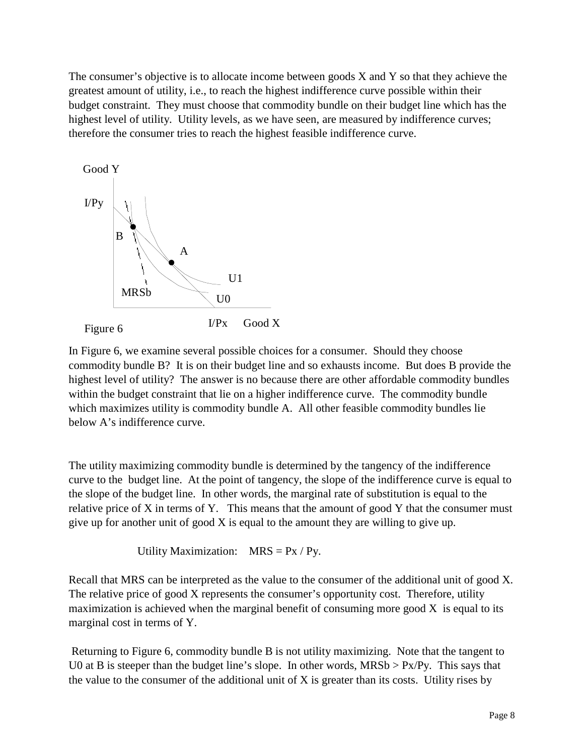The consumer's objective is to allocate income between goods X and Y so that they achieve the greatest amount of utility, i.e., to reach the highest indifference curve possible within their budget constraint. They must choose that commodity bundle on their budget line which has the highest level of utility. Utility levels, as we have seen, are measured by indifference curves; therefore the consumer tries to reach the highest feasible indifference curve.



In Figure 6, we examine several possible choices for a consumer. Should they choose commodity bundle B? It is on their budget line and so exhausts income. But does B provide the highest level of utility? The answer is no because there are other affordable commodity bundles within the budget constraint that lie on a higher indifference curve. The commodity bundle which maximizes utility is commodity bundle A. All other feasible commodity bundles lie below A's indifference curve.

The utility maximizing commodity bundle is determined by the tangency of the indifference curve to the budget line. At the point of tangency, the slope of the indifference curve is equal to the slope of the budget line. In other words, the marginal rate of substitution is equal to the relative price of X in terms of Y. This means that the amount of good Y that the consumer must give up for another unit of good X is equal to the amount they are willing to give up.

Utility Maximization:  $MRS = Px / Py$ .

Recall that MRS can be interpreted as the value to the consumer of the additional unit of good X. The relative price of good X represents the consumer's opportunity cost. Therefore, utility maximization is achieved when the marginal benefit of consuming more good  $X$  is equal to its marginal cost in terms of Y.

 Returning to Figure 6, commodity bundle B is not utility maximizing. Note that the tangent to U0 at B is steeper than the budget line's slope. In other words,  $MRSb > Px/Py$ . This says that the value to the consumer of the additional unit of X is greater than its costs. Utility rises by